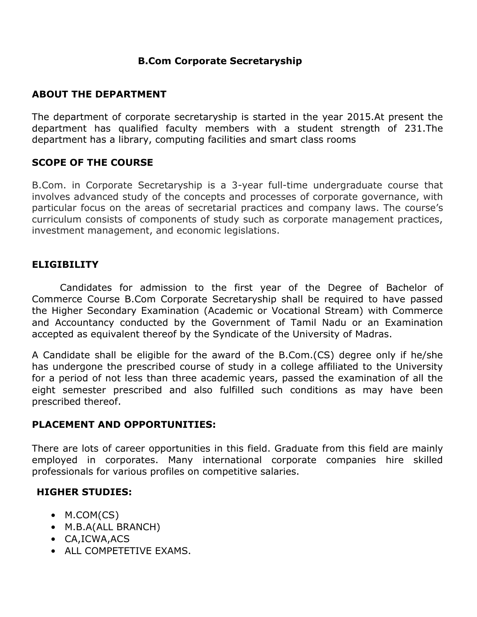## **B.Com Corporate Secretaryship**

### **ABOUT THE DEPARTMENT**

The department of corporate secretaryship is started in the year 2015.At present the department has qualified faculty members with a student strength of 231.The department has a library, computing facilities and smart class rooms

### **SCOPE OF THE COURSE**

B.Com. in Corporate Secretaryship is a 3-year full-time undergraduate course that involves advanced study of the concepts and processes of corporate governance, with particular focus on the areas of secretarial practices and company laws. The course's curriculum consists of components of study such as corporate management practices, investment management, and economic legislations.

# **ELIGIBILITY**

Candidates for admission to the first year of the Degree of Bachelor of Commerce Course B.Com Corporate Secretaryship shall be required to have passed the Higher Secondary Examination (Academic or Vocational Stream) with Commerce and Accountancy conducted by the Government of Tamil Nadu or an Examination accepted as equivalent thereof by the Syndicate of the University of Madras.

A Candidate shall be eligible for the award of the B.Com.(CS) degree only if he/she has undergone the prescribed course of study in a college affiliated to the University for a period of not less than three academic years, passed the examination of all the eight semester prescribed and also fulfilled such conditions as may have been prescribed thereof.

#### **PLACEMENT AND OPPORTUNITIES:**

There are lots of career opportunities in this field. Graduate from this field are mainly employed in corporates. Many international corporate companies hire skilled professionals for various profiles on competitive salaries.

# **HIGHER STUDIES:**

- M.COM(CS)
- M.B.A(ALL BRANCH)
- CA,ICWA,ACS
- ALL COMPETETIVE EXAMS.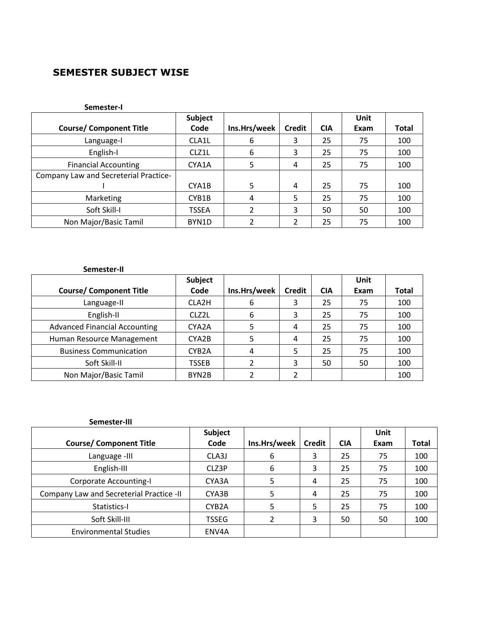## **SEMESTER SUBJECT WISE**

#### **Semester-I**

|                                       | Subject      |              |               |            | Unit |              |
|---------------------------------------|--------------|--------------|---------------|------------|------|--------------|
| <b>Course/ Component Title</b>        | Code         | Ins.Hrs/week | <b>Credit</b> | <b>CIA</b> | Exam | <b>Total</b> |
| Language-I                            | CLA1L        | 6            | 3             | 25         | 75   | 100          |
| English-I                             | CLZ1L        | 6            | 3             | 25         | 75   | 100          |
| <b>Financial Accounting</b>           | CYA1A        | 5            | 4             | 25         | 75   | 100          |
| Company Law and Secreterial Practice- |              |              |               |            |      |              |
|                                       | CYA1B        | 5            | 4             | 25         | 75   | 100          |
| Marketing                             | CYB1B        | 4            | 5             | 25         | 75   | 100          |
| Soft Skill-I                          | <b>TSSEA</b> |              | 3             | 50         | 50   | 100          |
| Non Major/Basic Tamil                 | BYN1D        |              | 2             | 25         | 75   | 100          |

#### **Semester-II Course/ Component Title Subject Code Ins.Hrs/week Credit CIA Unit Exam Total** Language-II | CLA2H | 6 | 3 | 25 | 75 | 100 English-II | CLZ2L | 6 | 3 | 25 | 75 | 100 Advanced Financial Accounting | CYA2A | 5 | 4 | 25 | 75 | 100 Human Resource Management | CYA2B | 5 | 4 | 25 | 75 | 100 Business Communication | CYB2A | 4 | 5 | 25 | 75 | 100 Soft Skill-II | TSSEB | 2 | 3 | 50 | 50 | 100 Non Major/Basic Tamil | BYN2B | 2 | 2 | | 100

#### **Semester-III**

|                                          | Subject            |              |               |            | Unit |              |
|------------------------------------------|--------------------|--------------|---------------|------------|------|--------------|
| <b>Course/ Component Title</b>           | Code               | Ins.Hrs/week | <b>Credit</b> | <b>CIA</b> | Exam | <b>Total</b> |
| Language -III                            | CLA3J              | 6            | 3             | 25         | 75   | 100          |
| English-III                              | CLZ3P              | 6            | 3             | 25         | 75   | 100          |
| <b>Corporate Accounting-I</b>            | CYA3A              |              | 4             | 25         | 75   | 100          |
| Company Law and Secreterial Practice -II | CYA3B              |              | 4             | 25         | 75   | 100          |
| Statistics-I                             | CYB <sub>2</sub> A |              | 5             | 25         | 75   | 100          |
| Soft Skill-III                           | <b>TSSEG</b>       |              | 3             | 50         | 50   | 100          |
| <b>Environmental Studies</b>             | ENV4A              |              |               |            |      |              |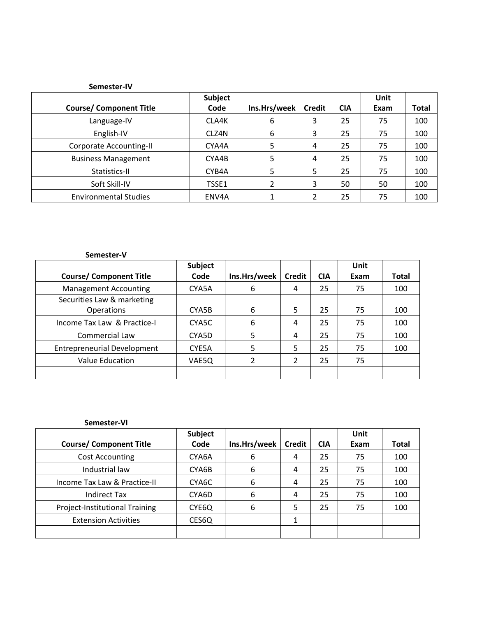| Semester-IV                    |         |              |               |            |      |       |
|--------------------------------|---------|--------------|---------------|------------|------|-------|
|                                | Subject |              |               |            | Unit |       |
| <b>Course/ Component Title</b> | Code    | Ins.Hrs/week | <b>Credit</b> | <b>CIA</b> | Exam | Total |
| Language-IV                    | CLA4K   | 6            | 3             | 25         | 75   | 100   |
| English-IV                     | CLZ4N   | 6            | 3             | 25         | 75   | 100   |
| <b>Corporate Accounting-II</b> | CYA4A   | 5            | 4             | 25         | 75   | 100   |
| <b>Business Management</b>     | CYA4B   | 5            | 4             | 25         | 75   | 100   |
| Statistics-II                  | CYB4A   | 5            | 5             | 25         | 75   | 100   |
| Soft Skill-IV                  | TSSE1   | 2            | 3             | 50         | 50   | 100   |
| <b>Environmental Studies</b>   | ENV4A   |              | 2             | 25         | 75   | 100   |

| Semester-V                         |         |              |                |            |      |              |
|------------------------------------|---------|--------------|----------------|------------|------|--------------|
|                                    | Subject |              |                |            | Unit |              |
| <b>Course/ Component Title</b>     | Code    | Ins.Hrs/week | <b>Credit</b>  | <b>CIA</b> | Exam | <b>Total</b> |
| <b>Management Accounting</b>       | CYA5A   | 6            | 4              | 25         | 75   | 100          |
| Securities Law & marketing         |         |              |                |            |      |              |
| <b>Operations</b>                  | CYA5B   | 6            | 5              | 25         | 75   | 100          |
| Income Tax Law & Practice-I        | CYA5C   | 6            | 4              | 25         | 75   | 100          |
| <b>Commercial Law</b>              | CYA5D   | 5            | 4              | 25         | 75   | 100          |
| <b>Entrepreneurial Development</b> | CYE5A   | 5            | 5              | 25         | 75   | 100          |
| <b>Value Education</b>             | VAE5Q   | 2            | $\overline{2}$ | 25         | 75   |              |
|                                    |         |              |                |            |      |              |

| Semester-VI                    |                |              |               |            |      |              |
|--------------------------------|----------------|--------------|---------------|------------|------|--------------|
|                                | <b>Subject</b> |              |               |            | Unit |              |
| <b>Course/ Component Title</b> | Code           | Ins.Hrs/week | <b>Credit</b> | <b>CIA</b> | Exam | <b>Total</b> |
| <b>Cost Accounting</b>         | CYA6A          | 6            | 4             | 25         | 75   | 100          |
| Industrial law                 | CYA6B          | 6            | 4             | 25         | 75   | 100          |
| Income Tax Law & Practice-II   | CYA6C          | 6            | 4             | 25         | 75   | 100          |
| <b>Indirect Tax</b>            | CYA6D          | 6            | 4             | 25         | 75   | 100          |
| Project-Institutional Training | CYE6Q          | 6            | 5             | 25         | 75   | 100          |
| <b>Extension Activities</b>    | CES6Q          |              | 1             |            |      |              |
|                                |                |              |               |            |      |              |